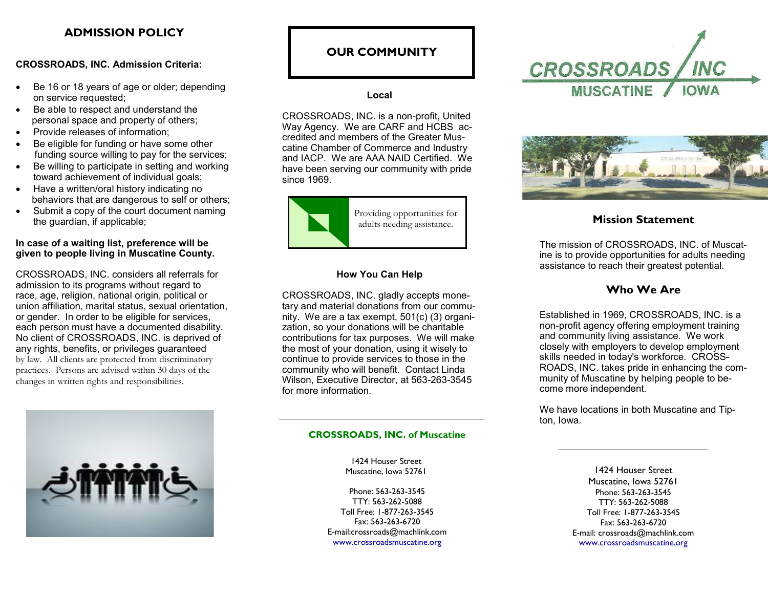# **ADMISSION POLICY**

## **CROSSROADS, INC. Admission Criteria:**

- Be 16 or 18 years of age or older; depending on service requested;
- Be able to respect and understand the personal space and property of others;
- Provide releases of information;
- Be eligible for funding or have some other funding source willing to pay for the services;
- Be willing to participate in setting and working toward achievement of individual goals;
- Have a written/oral history indicating no behaviors that are dangerous to self or others;
- Submit a copy of the court document naming the guardian, if applicable;

### **In case of a waiting list, preference will be given to people living in Muscatine County.**

CROSSROADS, INC. considers all referrals for admission to its programs without regard to race, age, religion, national origin, political or union affiliation, marital status, sexual orientation, or gender. In order to be eligible for services, each person must have a documented disability. No client of CROSSROADS, INC. is deprived of any rights, benefits, or privileges guaranteed by law. All clients are protected from discriminatory practices. Persons are advised within 30 days of the changes in written rights and responsibilities.



## **OUR COMMUNITY**

### **Local**

CROSSROADS, INC. is a non-profit, United Way Agency. We are CARF and HCBS accredited and members of the Greater Muscatine Chamber of Commerce and Industry and IACP. We are AAA NAID Certified. We have been serving our community with pride since 1969.



## **How You Can Help**

CROSSROADS, INC. gladly accepts monetary and material donations from our community. We are a tax exempt, 501(c) (3) organization, so your donations will be charitable contributions for tax purposes. We will make the most of your donation, using it wisely to continue to provide services to those in the community who will benefit. Contact Linda Wilson, Executive Director, at 563-263-3545 for more information.

### **CROSSROADS, INC. of Muscatine**

1424 Houser Street Muscatine, Iowa 52761

Phone: 563-263-3545 TTY: 563-262-5088 Toll Free: 1-877-263-3545 Fax: 563-263-6720 E-mail:crossroads@machlink.com www.crossroadsmuscatine.org





The mission of CROSSROADS, INC. of Muscatine is to provide opportunities for adults needing assistance to reach their greatest potential.

## **Who We Are**

Established in 1969, CROSSROADS, INC. is a non-profit agency offering employment training and community living assistance. We work closely with employers to develop employment skills needed in today's workforce. CROSS-ROADS, INC. takes pride in enhancing the community of Muscatine by helping people to become more independent.

We have locations in both Muscatine and Tipton, Iowa.

> 1424 Houser Street Muscatine, Iowa 52761 Phone: 563-263-3545 TTY: 563-262-5088 Toll Free: 1-877-263-3545 Fax: 563-263-6720 E-mail: crossroads@machlink.com www.crossroadsmuscatine.org